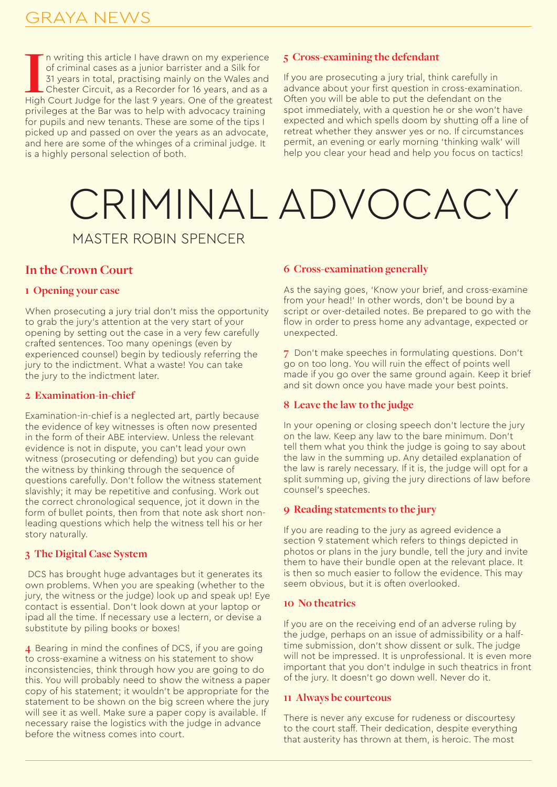In writing this article I have drawn on my experience of criminal cases as a junior barrister and a Silk for 31 years in total, practising mainly on the Wales and Chester Circuit, as a Recorder for 16 years, and as a High n writing this article I have drawn on my experience of criminal cases as a junior barrister and a Silk for 31 years in total, practising mainly on the Wales and Chester Circuit, as a Recorder for 16 years, and as a privileges at the Bar was to help with advocacy training for pupils and new tenants. These are some of the tips I picked up and passed on over the years as an advocate, and here are some of the whinges of a criminal judge. It is a highly personal selection of both.

# **5 Cross-examining the defendant**

If you are prosecuting a jury trial, think carefully in advance about your first question in cross-examination. Often you will be able to put the defendant on the spot immediately, with a question he or she won't have expected and which spells doom by shutting off a line of retreat whether they answer yes or no. If circumstances permit, an evening or early morning 'thinking walk' will help you clear your head and help you focus on tactics!

# MASTER ROBIN SPENCER CRIMINAL ADVOCACY

# **In the Crown Court**

#### **1 Opening your case**

When prosecuting a jury trial don't miss the opportunity to grab the jury's attention at the very start of your opening by setting out the case in a very few carefully crafted sentences. Too many openings (even by experienced counsel) begin by tediously referring the jury to the indictment. What a waste! You can take the jury to the indictment later.

#### **2 Examination-in-chief**

Examination-in-chief is a neglected art, partly because the evidence of key witnesses is often now presented in the form of their ABE interview. Unless the relevant evidence is not in dispute, you can't lead your own witness (prosecuting or defending) but you can guide the witness by thinking through the sequence of questions carefully. Don't follow the witness statement slavishly; it may be repetitive and confusing. Work out the correct chronological sequence, jot it down in the form of bullet points, then from that note ask short nonleading questions which help the witness tell his or her story naturally.

#### **3 The Digital Case System**

 DCS has brought huge advantages but it generates its own problems. When you are speaking (whether to the jury, the witness or the judge) look up and speak up! Eye contact is essential. Don't look down at your laptop or ipad all the time. If necessary use a lectern, or devise a substitute by piling books or boxes!

**4** Bearing in mind the confines of DCS, if you are going to cross-examine a witness on his statement to show inconsistencies, think through how you are going to do this. You will probably need to show the witness a paper copy of his statement; it wouldn't be appropriate for the statement to be shown on the big screen where the jury will see it as well. Make sure a paper copy is available. If necessary raise the logistics with the judge in advance before the witness comes into court.

#### **6 Cross-examination generally**

As the saying goes, 'Know your brief, and cross-examine from your head!' In other words, don't be bound by a script or over-detailed notes. Be prepared to go with the flow in order to press home any advantage, expected or unexpected.

**7** Don't make speeches in formulating questions. Don't go on too long. You will ruin the effect of points well made if you go over the same ground again. Keep it brief and sit down once you have made your best points.

#### **8 Leave the law to the judge**

In your opening or closing speech don't lecture the jury on the law. Keep any law to the bare minimum. Don't tell them what you think the judge is going to say about the law in the summing up. Any detailed explanation of the law is rarely necessary. If it is, the judge will opt for a split summing up, giving the jury directions of law before counsel's speeches.

#### **9 Reading statements to the jury**

If you are reading to the jury as agreed evidence a section 9 statement which refers to things depicted in photos or plans in the jury bundle, tell the jury and invite them to have their bundle open at the relevant place. It is then so much easier to follow the evidence. This may seem obvious, but it is often overlooked.

#### **10 No theatrics**

If you are on the receiving end of an adverse ruling by the judge, perhaps on an issue of admissibility or a halftime submission, don't show dissent or sulk. The judge will not be impressed. It is unprofessional. It is even more important that you don't indulge in such theatrics in front of the jury. It doesn't go down well. Never do it.

#### **11 Always be courteous**

There is never any excuse for rudeness or discourtesy to the court staff. Their dedication, despite everything that austerity has thrown at them, is heroic. The most